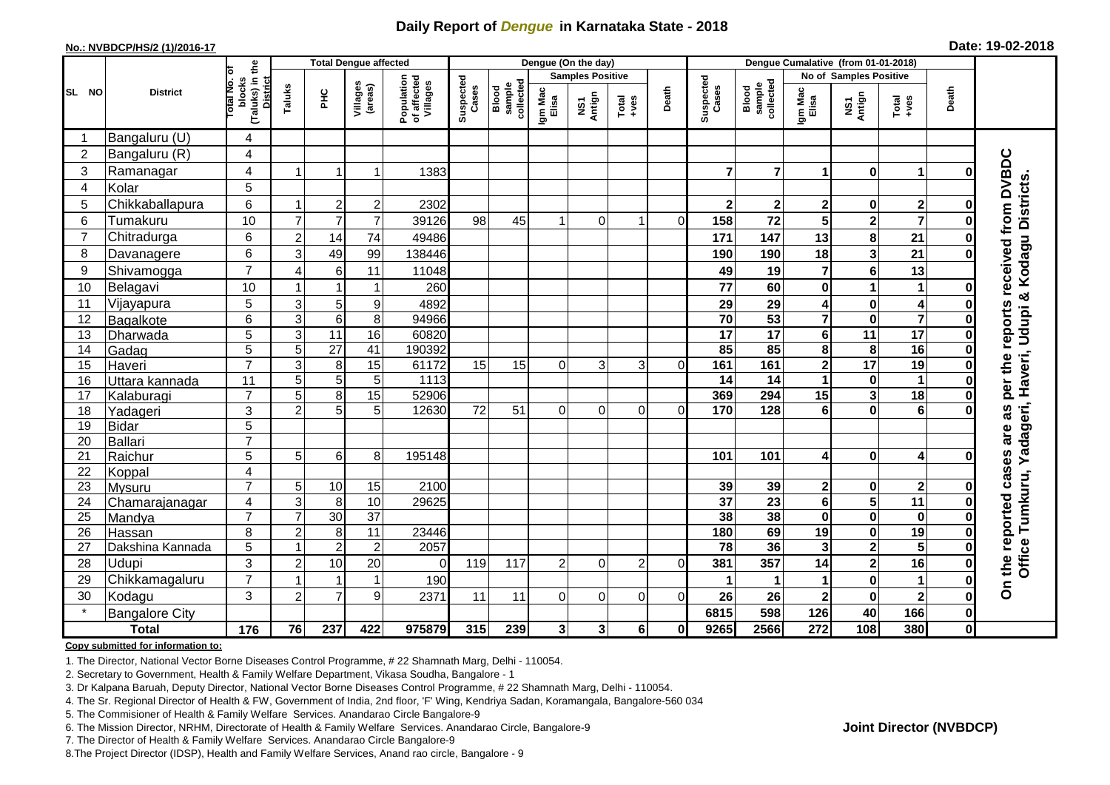## **Daily Report of** *Dengue* **in Karnataka State - 2018**

#### **No.: NVBDCP/HS/2 (1)/2016-17**

|  |  | Date: 19-02-2018 |
|--|--|------------------|
|--|--|------------------|

|                 | <b>Total Dengue affected</b> |                                                       |                           |                 |                     |                                       | Dengue (On the day) |                              |                  |               |                |          |                        | Dengue Cumalative (from 01-01-2018) |                         |                         |                         |              |                       |  |
|-----------------|------------------------------|-------------------------------------------------------|---------------------------|-----------------|---------------------|---------------------------------------|---------------------|------------------------------|------------------|---------------|----------------|----------|------------------------|-------------------------------------|-------------------------|-------------------------|-------------------------|--------------|-----------------------|--|
|                 |                              |                                                       |                           |                 |                     | <b>Samples Positive</b>               |                     |                              |                  |               |                |          |                        | No of Samples Positive              |                         |                         |                         |              |                       |  |
| SL NO           | <b>District</b>              | (Taluks) in the<br>District<br>Total No. of<br>blocks | Taluks                    | ЭH              | Villages<br>(areas) | Population<br>of affected<br>Villages | Suspected<br>Cases  | sample<br>collected<br>Blood | Igm Mac<br>Elisa | NS1<br>Antign | $Total$        | Death    | Suspected<br>Cases     | collected<br><b>Blood</b><br>sample | Igm Mac<br>Elisa        | NS1<br>Antign           | Total<br>$+ve$ s        | Death        |                       |  |
|                 | Bangaluru (U)                | 4                                                     |                           |                 |                     |                                       |                     |                              |                  |               |                |          |                        |                                     |                         |                         |                         |              |                       |  |
| $\overline{2}$  | Bangaluru (R)                | $\overline{4}$                                        |                           |                 |                     |                                       |                     |                              |                  |               |                |          |                        |                                     |                         |                         |                         |              |                       |  |
| 3               | Ramanagar                    | 4                                                     |                           |                 | 1                   | 1383                                  |                     |                              |                  |               |                |          | 7                      | $\overline{7}$                      | 1                       | $\bf{0}$                | 1                       | ŋ            | received from DVBDC   |  |
| $\overline{4}$  | Kolar                        | 5                                                     |                           |                 |                     |                                       |                     |                              |                  |               |                |          |                        |                                     |                         |                         |                         |              |                       |  |
| 5               | Chikkaballapura              | 6                                                     | -1                        | $\overline{2}$  | $\boldsymbol{2}$    | 2302                                  |                     |                              |                  |               |                |          | $\overline{2}$         | $\mathbf{2}$                        | 2                       | 0                       | $\mathbf{2}$            | 0            |                       |  |
| 6               | Tumakuru                     | 10                                                    | $\overline{7}$            | $\overline{7}$  | $\overline{7}$      | 39126                                 | 98                  | 45                           |                  | $\Omega$      | ٠              | $\Omega$ | 158                    | 72                                  | 5                       | $\mathbf{2}$            | $\overline{7}$          | 0            |                       |  |
| $\overline{7}$  | Chitradurga                  | 6                                                     | $\overline{c}$            | 14              | 74                  | 49486                                 |                     |                              |                  |               |                |          | 171                    | 147                                 | 13                      | 8                       | 21                      |              |                       |  |
| 8               | Davanagere                   | 6                                                     | 3                         | 49              | 99                  | 138446                                |                     |                              |                  |               |                |          | 190                    | 190                                 | 18                      | $\overline{\mathbf{3}}$ | 21                      |              |                       |  |
| 9               | Shivamogga                   | $\overline{7}$                                        | $\overline{4}$            | 6               | 11                  | 11048                                 |                     |                              |                  |               |                |          | 49                     | 19                                  | 7                       | $\bf 6$                 | 13                      |              | Kodagu Districts.     |  |
| 10              | Belagavi                     | 10                                                    | $\overline{ }$            |                 | 1                   | 260                                   |                     |                              |                  |               |                |          | 77                     | 60                                  | 0                       | 1                       | 1                       | O            |                       |  |
| 11              | Vijayapura                   | 5                                                     | $\sqrt{3}$                | 5               | 9                   | 4892                                  |                     |                              |                  |               |                |          | 29                     | 29                                  | 4                       | $\pmb{0}$               | 4                       | 0            | Haveri, Udupi &       |  |
| 12              | Bagalkote                    | 6                                                     | $\mathbf{3}$              | $\,6$           | 8                   | 94966                                 |                     |                              |                  |               |                |          | $\overline{70}$        | $\overline{53}$                     | $\overline{7}$          | $\mathbf 0$             | $\overline{\mathbf{7}}$ | 0            | per the reports       |  |
| 13              | Dharwada                     | 5                                                     | $\ensuremath{\mathsf{3}}$ | $\overline{11}$ | $\overline{16}$     | 60820                                 |                     |                              |                  |               |                |          | $\overline{17}$        | $\overline{17}$                     | 6                       | $\overline{11}$         | 17                      | 0            |                       |  |
| 14              | Gadag                        | 5                                                     | 5                         | $\overline{27}$ | 41                  | 190392                                |                     |                              |                  |               |                |          | 85                     | 85                                  | 8                       | 8                       | 16                      | 0            |                       |  |
| 15              | Haveri                       | $\overline{7}$                                        | 3                         | 8               | 15                  | 61172                                 | 15                  | 15                           | $\Omega$         | 3             | 3              | $\Omega$ | 161                    | 161                                 | $\overline{\mathbf{2}}$ | 17                      | 19                      | O            |                       |  |
| 16              | Uttara kannada               | 11                                                    | 5                         | 5               | 5                   | 1113                                  |                     |                              |                  |               |                |          | 14                     | 14                                  | 1                       | $\bf{0}$                | 1                       | O            |                       |  |
| 17              | Kalaburagi                   | $\overline{7}$                                        | 5                         | 8               | 15                  | 52906                                 |                     |                              |                  |               |                |          | 369                    | 294                                 | 15                      | 3                       | $\overline{18}$         | O            |                       |  |
| 18              | Yadageri                     | 3                                                     | $\overline{2}$            | 5               | 5                   | 12630                                 | 72                  | 51                           | $\Omega$         | $\Omega$      | $\Omega$       | ΩI       | 170                    | 128                                 | 6                       | $\mathbf 0$             | 6                       |              | adageri,<br>as        |  |
| 19              | <b>Bidar</b>                 | $\overline{5}$                                        |                           |                 |                     |                                       |                     |                              |                  |               |                |          |                        |                                     |                         |                         |                         |              | are                   |  |
| 20              | <b>Ballari</b>               | $\overline{7}$                                        |                           |                 |                     |                                       |                     |                              |                  |               |                |          |                        |                                     |                         |                         |                         |              |                       |  |
| 21              | Raichur                      | 5                                                     | 5                         | $\,6$           | 8                   | 195148                                |                     |                              |                  |               |                |          | 101                    | 101                                 | 4                       | $\bf{0}$                | $\overline{\mathbf{4}}$ | ŋ            | ≻                     |  |
| 22              | Koppal                       | 4                                                     |                           |                 |                     |                                       |                     |                              |                  |               |                |          |                        |                                     |                         |                         |                         |              |                       |  |
| 23              | Mysuru                       | $\overline{7}$                                        | 5                         | 10              | 15                  | 2100                                  |                     |                              |                  |               |                |          | 39                     | 39                                  | 2                       | 0                       | $\mathbf 2$             |              |                       |  |
| 24              | Chamarajanagar               | $\overline{4}$                                        | 3                         | 8               | 10                  | 29625                                 |                     |                              |                  |               |                |          | $\overline{37}$        | $\overline{23}$                     | $\overline{\mathbf{6}}$ | $\overline{\mathbf{5}}$ | $\overline{11}$         |              |                       |  |
| $\overline{25}$ | Mandya                       | $\overline{7}$                                        | $\overline{7}$            | 30              | $\overline{37}$     |                                       |                     |                              |                  |               |                |          | 38                     | 38                                  | $\mathbf 0$             | $\overline{\mathbf{0}}$ | $\mathbf 0$             | $\bf{0}$     |                       |  |
| 26              | Hassan                       | 8                                                     | $\overline{2}$<br>1       | 8               | $\overline{11}$     | 23446                                 |                     |                              |                  |               |                |          | 180<br>$\overline{78}$ | 69                                  | 19                      | $\mathbf 0$             | 19                      | 0            |                       |  |
| 27              | Dakshina Kannada             | 5                                                     |                           | $\overline{2}$  | $\overline{c}$      | 2057                                  |                     |                              |                  |               |                |          |                        | 36                                  | 3                       | $\overline{\mathbf{2}}$ | $\overline{5}$          | $\bf{0}$     |                       |  |
| 28              | Udupi                        | 3                                                     | $\overline{c}$            | 10              | 20                  | $\Omega$                              | 119                 | 117                          | $\overline{2}$   | $\Omega$      | $\overline{2}$ | $\Omega$ | 381                    | 357                                 | 14                      | $\mathbf{2}$            | 16                      | 0            | Office Tumkuru,       |  |
| 29              | Chikkamagaluru               | $\overline{7}$                                        |                           |                 | 1                   | 190                                   |                     |                              |                  |               |                |          |                        |                                     |                         | $\mathbf 0$             | 1                       | O            | On the reported cases |  |
| 30              | Kodagu                       | 3                                                     | $\overline{c}$            | $\overline{7}$  | 9                   | 2371                                  | 11                  | 11                           | $\Omega$         | $\mathbf 0$   | 0              | $\Omega$ | 26                     | 26                                  | $\overline{\mathbf{2}}$ | $\pmb{0}$               | $\overline{2}$          | 0            |                       |  |
|                 | <b>Bangalore City</b>        |                                                       |                           |                 |                     |                                       |                     |                              |                  |               |                |          | 6815                   | 598                                 | 126                     | 40                      | 166                     | $\mathbf 0$  |                       |  |
|                 | <b>Total</b>                 | $\frac{1}{176}$                                       | 76                        | 237             | 422                 | 975879                                | 315                 | 239                          | $\mathbf{3}$     | $\mathbf 3$   | 6 <sup>1</sup> | 0I       | 9265                   | 2566                                | $\overline{272}$        | 108                     | 380                     | $\mathbf{0}$ |                       |  |

#### **Copy submitted for information to:**

1. The Director, National Vector Borne Diseases Control Programme, # 22 Shamnath Marg, Delhi - 110054.

2. Secretary to Government, Health & Family Welfare Department, Vikasa Soudha, Bangalore - 1

3. Dr Kalpana Baruah, Deputy Director, National Vector Borne Diseases Control Programme, # 22 Shamnath Marg, Delhi - 110054.

4. The Sr. Regional Director of Health & FW, Government of India, 2nd floor, 'F' Wing, Kendriya Sadan, Koramangala, Bangalore-560 034

5. The Commisioner of Health & Family Welfare Services. Anandarao Circle Bangalore-9

6. The Mission Director, NRHM, Directorate of Health & Family Welfare Services. Anandarao Circle, Bangalore-9

7. The Director of Health & Family Welfare Services. Anandarao Circle Bangalore-9

8.The Project Director (IDSP), Health and Family Welfare Services, Anand rao circle, Bangalore - 9